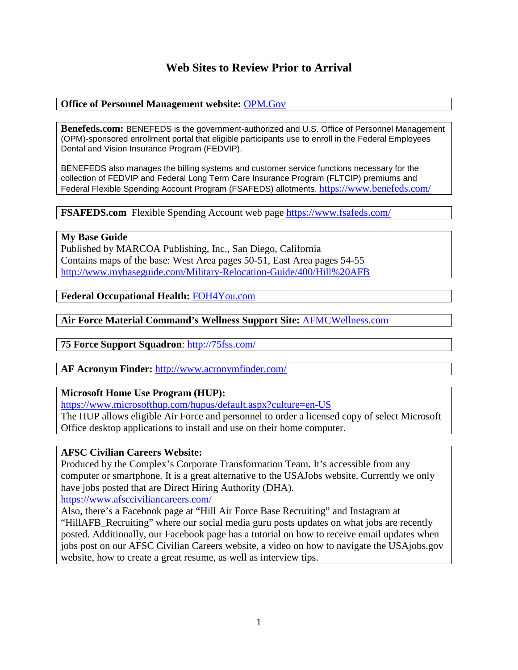## **Web Sites to Review Prior to Arrival**

### **Office of Personnel Management website:** [OPM.Gov](http://www.opm.gov/)

**Benefeds.com:** BENEFEDS is the government-authorized and U.S. Office of Personnel Management (OPM)-sponsored enrollment portal that eligible participants use to enroll in the Federal Employees Dental and Vision Insurance Program (FEDVIP).

BENEFEDS also manages the billing systems and customer service functions necessary for the collection of FEDVIP and Federal Long Term Care Insurance Program (FLTCIP) premiums and Federal Flexible Spending Account Program (FSAFEDS) allotments. <https://www.benefeds.com/>

**FSAFEDS.com** Flexible Spending Account web page <https://www.fsafeds.com/>

**My Base Guide** Published by MARCOA Publishing, Inc., San Diego, California Contains maps of the base: West Area pages 50-51, East Area pages 54-55 <http://www.mybaseguide.com/Military-Relocation-Guide/400/Hill%20AFB>

**Federal Occupational Health:** [FOH4You.com](http://foh.psc.gov/services/EAP/Eapwebsite.asp)

**Air Force Material Command's Wellness Support Site:** [AFMCWellness.com](http://afmcwellness.com/)

**75 Force Support Squadron**:<http://75fss.com/>

**AF Acronym Finder:** <http://www.acronymfinder.com/>

#### **Microsoft Home Use Program (HUP):**

<https://www.microsofthup.com/hupus/default.aspx?culture=en-US>

The HUP allows eligible Air Force and personnel to order a licensed copy of select Microsoft Office desktop applications to install and use on their home computer.

#### **AFSC Civilian Careers Website:**

Produced by the Complex's Corporate Transformation Team**.** It's accessible from any computer or smartphone. It is a great alternative to the USAJobs website. Currently we only have jobs posted that are Direct Hiring Authority (DHA).

<https://www.afscciviliancareers.com/>

Also, there's a Facebook page at "Hill Air Force Base Recruiting" and Instagram at "HillAFB\_Recruiting" where our social media guru posts updates on what jobs are recently posted. Additionally, our Facebook page has a tutorial on how to receive email updates when jobs post on our AFSC Civilian Careers website, a video on how to navigate the USAjobs.gov website, how to create a great resume, as well as interview tips.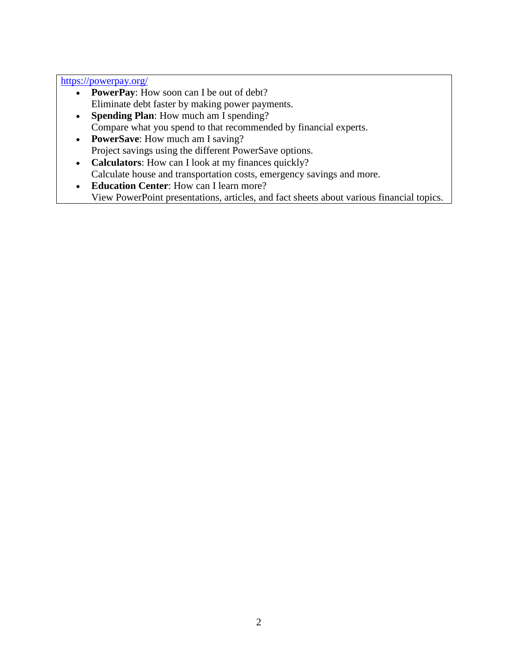<https://powerpay.org/>

- **PowerPay**: How soon can I be out of debt? Eliminate debt faster by making power payments.
- **Spending Plan**: How much am I spending? Compare what you spend to that recommended by financial experts.
- **PowerSave**: How much am I saving? Project savings using the different PowerSave options.
- **Calculators**: How can I look at my finances quickly? Calculate house and transportation costs, emergency savings and more.
- **Education Center**: How can I learn more?
	- View PowerPoint presentations, articles, and fact sheets about various financial topics.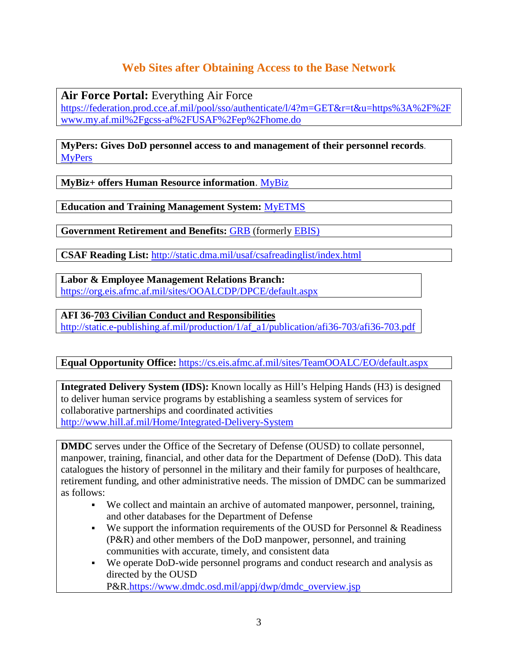# **Web Sites after Obtaining Access to the Base Network**

**Air Force Portal:** Everything Air Force

[https://federation.prod.cce.af.mil/pool/sso/authenticate/l/4?m=GET&r=t&u=https%3A%2F%2F](https://federation.prod.cce.af.mil/pool/sso/authenticate/l/4?m=GET&r=t&u=https%3A%2F%2Fwww.my.af.mil%2Fgcss-af%2FUSAF%2Fep%2Fhome.do) [www.my.af.mil%2Fgcss-af%2FUSAF%2Fep%2Fhome.do](https://federation.prod.cce.af.mil/pool/sso/authenticate/l/4?m=GET&r=t&u=https%3A%2F%2Fwww.my.af.mil%2Fgcss-af%2FUSAF%2Fep%2Fhome.do)

**MyPers: Gives DoD personnel access to and management of their personnel records**. [MyPers](https://mypers.af.mil/app/home)

**MyBiz+ offers Human Resource information**. [MyBiz](https://bantamemp.dcpds.cpms.osd.mil/dcpdsportal-reg03/profile.jsf)

**Education and Training Management System:** [MyETMS](https://myetms.wpafb.af.mil/myetmsasp/main.asp?pwdexp=&errmsg=)

**Government Retirement and Benefits:** [GRB](https://w45.afpc.randolph.af.mil/afpcsecurenet40/PKI/MainMenu1.aspx) (formerly [EBIS\)](https://w45.afpc.randolph.af.mil/afpcsecurenet40/CheckPortal.aspx)

**CSAF Reading List:** <http://static.dma.mil/usaf/csafreadinglist/index.html>

**Labor & Employee Management Relations Branch:** <https://org.eis.afmc.af.mil/sites/OOALCDP/DPCE/default.aspx>

**AFI 36-703 Civilian Conduct and Responsibilities** [http://static.e-publishing.af.mil/production/1/af\\_a1/publication/afi36-703/afi36-703.pdf](http://static.e-publishing.af.mil/production/1/af_a1/publication/afi36-703/afi36-703.pdf) 

**Equal Opportunity Office:** <https://cs.eis.afmc.af.mil/sites/TeamOOALC/EO/default.aspx>

**Integrated Delivery System (IDS):** Known locally as Hill's Helping Hands (H3) is designed to deliver human service programs by establishing a seamless system of services for collaborative partnerships and coordinated activities <http://www.hill.af.mil/Home/Integrated-Delivery-System>

**DMDC** serves under the Office of the Secretary of Defense (OUSD) to collate personnel, manpower, training, financial, and other data for the Department of Defense (DoD). This data catalogues the history of personnel in the military and their family for purposes of healthcare, retirement funding, and other administrative needs. The mission of DMDC can be summarized as follows:

- We collect and maintain an archive of automated manpower, personnel, training, and other databases for the Department of Defense
- We support the information requirements of the OUSD for Personnel  $&$  Readiness (P&R) and other members of the DoD manpower, personnel, and training communities with accurate, timely, and consistent data
- We operate DoD-wide personnel programs and conduct research and analysis as directed by the OUSD

P&R[.https://www.dmdc.osd.mil/appj/dwp/dmdc\\_overview.jsp](https://www.dmdc.osd.mil/appj/dwp/dmdc_overview.jsp)